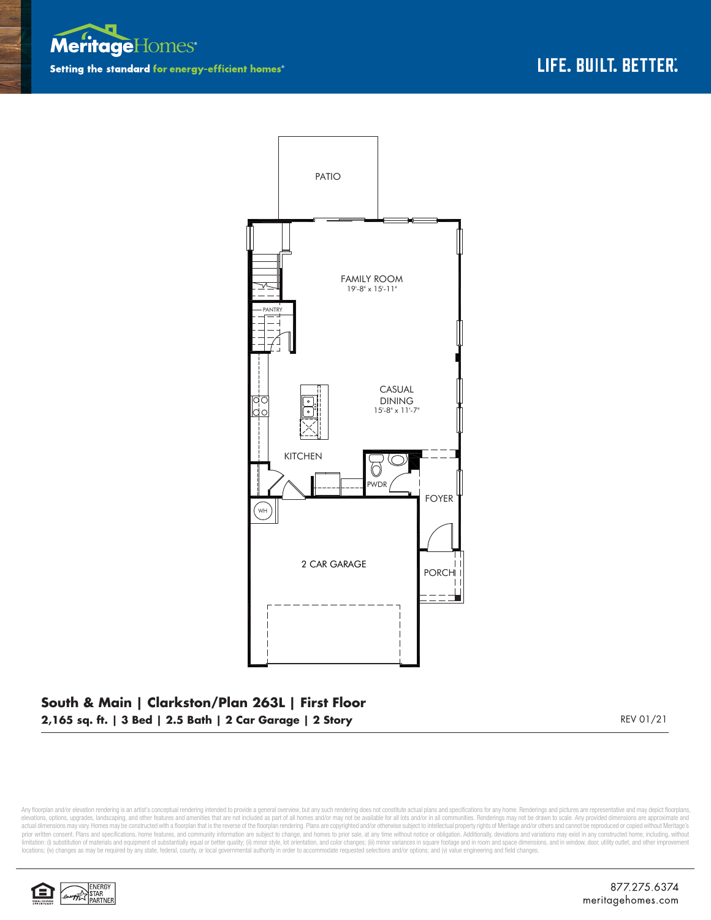



## **South & Main | Clarkston/Plan 263L | First Floor 2,165 sq. ft. | 3 Bed | 2.5 Bath | 2 Car Garage | 2 Story** REV 01/21

Any floorplan and/or elevation rendering is an artist's conceptual rendering intended to provide a general overview, but any such rendering does not constitute actual plans and specifications for any home. Renderings and p elevations, options, upgrades, landscaping, and other features and amenities that are not included as part of all homes and/or may not be available for all lots and/or in all communities. Renderings may not be drawn to sca limitation: (i) substitution of materials and equipment of substantially equal or better quality; (ii) minor style, lot orientation, and color changes; (iii) minor variances in square footage and in room and space dimensio locations; (iv) changes as may be required by any state, federal, county, or local governmental authority in order to accommodate requested selections and/or options; and (v) value engineering and field changes.